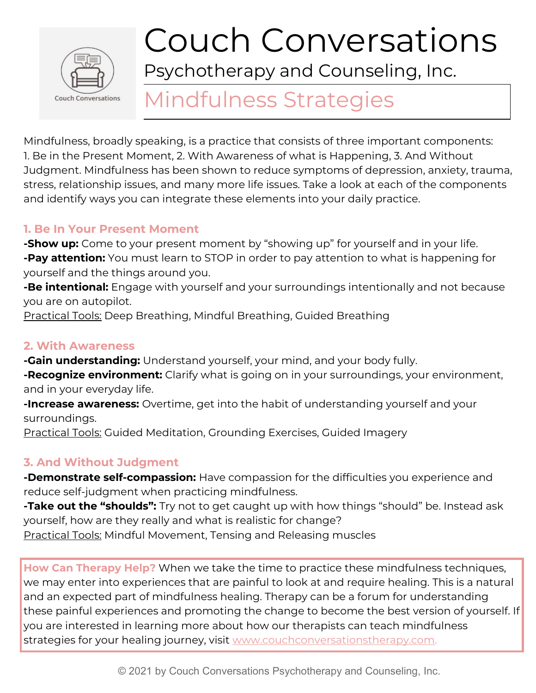

# Couch Conversations

Psychotherapy and Counseling, Inc.

# Mindfulness Strategies

Mindfulness, broadly speaking, is a practice that consists of three important components: 1. Be in the Present Moment, 2. With Awareness of what is Happening, 3. And Without Judgment. Mindfulness has been shown to reduce symptoms of depression, anxiety, trauma, stress, relationship issues, and many more life issues. Take a look at each of the components and identify ways you can integrate these elements into your daily practice.

#### **1. Be In Your Present Moment**

**-Show up:** Come to your present moment by "showing up" for yourself and in your life. **-Pay attention:** You must learn to STOP in order to pay attention to what is happening for yourself and the things around you.

**-Be intentional:** Engage with yourself and your surroundings intentionally and not because you are on autopilot.

Practical Tools: Deep Breathing, Mindful Breathing, Guided Breathing

### **2. With Awareness**

**-Gain understanding:** Understand yourself, your mind, and your body fully.

**-Recognize environment:** Clarify what is going on in your surroundings, your environment, and in your everyday life.

**-Increase awareness:** Overtime, get into the habit of understanding yourself and your surroundings.

Practical Tools: Guided Meditation, Grounding Exercises, Guided Imagery

## **3. And Without Judgment**

**-Demonstrate self-compassion:** Have compassion for the difficulties you experience and reduce self-judgment when practicing mindfulness.

**-Take out the "shoulds":** Try not to get caught up with how things "should" be. Instead ask yourself, how are they really and what is realistic for change? Practical Tools: Mindful Movement, Tensing and Releasing muscles

**How Can Therapy Help?** When we take the time to practice these mindfulness techniques, we may enter into experiences that are painful to look at and require healing. This is a natural and an expected part of mindfulness healing. Therapy can be a forum for understanding these painful experiences and promoting the change to become the best version of yourself. If you are interested in learning more about how our therapists can teach mindfulness strategies for your healing journey, visit [www.couchconversationstherapy.com.](http://www.couchconversationstherapy.com/)